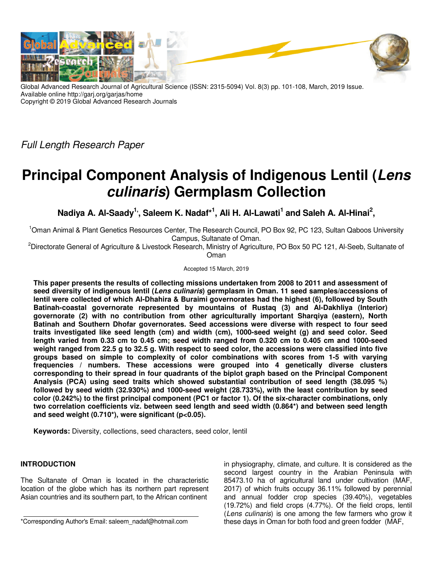

Global Advanced Research Journal of Agricultural Science (ISSN: 2315-5094) Vol. 8(3) pp. 101-108, March, 2019 Issue. Available online http://garj.org/garjas/home Copyright © 2019 Global Advanced Research Journals

Full Length Research Paper

# **Principal Component Analysis of Indigenous Lentil (Lens culinaris) Germplasm Collection**

Nadiya A. Al-Saady<sup>1,</sup>, Saleem K. Nadaf\*<sup>1</sup>, Ali H. Al-Lawati<sup>1</sup> and Saleh A. Al-Hinai<sup>2</sup>,

<sup>1</sup>Oman Animal & Plant Genetics Resources Center, The Research Council, PO Box 92, PC 123, Sultan Qaboos University Campus, Sultanate of Oman.

<sup>2</sup>Directorate General of Agriculture & Livestock Research, Ministry of Agriculture, PO Box 50 PC 121, Al-Seeb, Sultanate of Oman

Accepted 15 March, 2019

**This paper presents the results of collecting missions undertaken from 2008 to 2011 and assessment of seed diversity of indigenous lentil (Lens culinaris) germplasm in Oman. 11 seed samples/accessions of lentil were collected of which Al-Dhahira & Buraimi governorates had the highest (6), followed by South Batinah-coastal governorate represented by mountains of Rustaq (3) and Al-Dakhliya (Interior) governorate (2) with no contribution from other agriculturally important Sharqiya (eastern), North Batinah and Southern Dhofar governorates. Seed accessions were diverse with respect to four seed traits investigated like seed length (cm) and width (cm), 1000-seed weight (g) and seed color. Seed length varied from 0.33 cm to 0.45 cm; seed width ranged from 0.320 cm to 0.405 cm and 1000-seed weight ranged from 22.5 g to 32.5 g. With respect to seed color, the accessions were classified into five groups based on simple to complexity of color combinations with scores from 1-5 with varying frequencies / numbers. These accessions were grouped into 4 genetically diverse clusters corresponding to their spread in four quadrants of the biplot graph based on the Principal Component Analysis (PCA) using seed traits which showed substantial contribution of seed length (38.095 %) followed by seed width (32.930%) and 1000-seed weight (28.733%), with the least contribution by seed color (0.242%) to the first principal component (PC1 or factor 1). Of the six-character combinations, only two correlation coefficients viz. between seed length and seed width (0.864\*) and between seed length and seed weight (0.710\*), were significant (p<0.05).** 

**Keywords:** Diversity, collections, seed characters, seed color, lentil

# **INTRODUCTION**

The Sultanate of Oman is located in the characteristic location of the globe which has its northern part represent Asian countries and its southern part, to the African continent

in physiography, climate, and culture. It is considered as the second largest country in the Arabian Peninsula with 85473.10 ha of agricultural land under cultivation (MAF, 2017) of which fruits occupy 36.11% followed by perennial and annual fodder crop species (39.40%), vegetables (19.72%) and field crops (4.77%). Of the field crops, lentil (Lens culinaris) is one among the few farmers who grow it these days in Oman for both food and green fodder (MAF,

<sup>\*</sup>Corresponding Author's Email: saleem\_nadaf@hotmail.com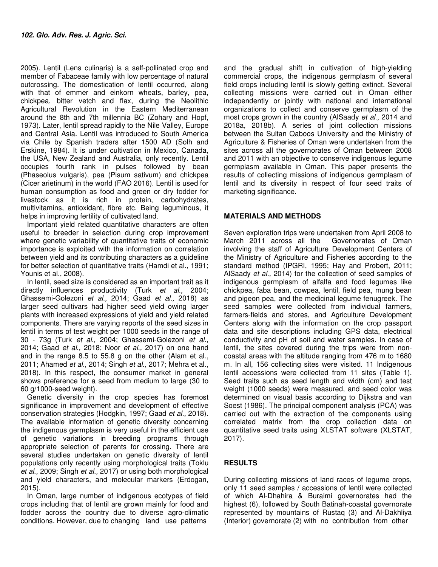2005). Lentil (Lens culinaris) is a self-pollinated crop and member of Fabaceae family with low percentage of natural outcrossing. The domestication of lentil occurred, along with that of emmer and einkorn wheats, barley, pea, chickpea, bitter vetch and flax, during the Neolithic Agricultural Revolution in the Eastern Mediterranean around the 8th and 7th millennia BC (Zohary and Hopf, 1973). Later, lentil spread rapidly to the Nile Valley, Europe and Central Asia. Lentil was introduced to South America via Chile by Spanish traders after 1500 AD (Solh and Erskine, 1984). It is under cultivation in Mexico, Canada, the USA, New Zealand and Australia, only recently. Lentil occupies fourth rank in pulses followed by bean (Phaseolus vulgaris), pea (Pisum sativum) and chickpea (Cicer arietinum) in the world (FAO 2016). Lentil is used for human consumption as food and green or dry fodder for livestock as it is rich in protein, carbohydrates, multivitamins, antioxidant, fibre etc. Being leguminous, it helps in improving fertility of cultivated land.

Important yield related quantitative characters are often useful to breeder in selection during crop improvement where genetic variability of quantitative traits of economic importance is exploited with the information on correlation between yield and its contributing characters as a guideline for better selection of quantitative traits (Hamdi et al., 1991; Younis et al., 2008).

In lentil, seed size is considered as an important trait as it directly influences productivity (Turk et al., 2004; Ghassemi-Golezoni et al., 2014; Gaad et al., 2018) as larger seed cultivars had higher seed yield owing larger plants with increased expressions of yield and yield related components. There are varying reports of the seed sizes in lentil in terms of test weight per 1000 seeds in the range of 30 - 73g (Turk et al., 2004; Ghassemi-Golezoni et al., 2014; Gaad et al., 2018; Noor et al., 2017) on one hand and in the range 8.5 to 55.8 g on the other (Alam et al., 2011; Ahamed *et al.*, 2014; Singh *et al.*, 2017; Mehra et al., 2018). In this respect, the consumer market in general shows preference for a seed from medium to large (30 to 60 g/1000-seed weight).

Genetic diversity in the crop species has foremost significance in improvement and development of effective conservation strategies (Hodgkin, 1997; Gaad et al., 2018). The available information of genetic diversity concerning the indigenous germplasm is very useful in the efficient use of genetic variations in breeding programs through appropriate selection of parents for crossing. There are several studies undertaken on genetic diversity of lentil populations only recently using morphological traits (Toklu et al., 2009; Singh et al., 2017) or using both morphological and yield characters, and molecular markers (Erdogan, 2015).

In Oman, large number of indigenous ecotypes of field crops including that of lentil are grown mainly for food and fodder across the country due to diverse agro-climatic conditions. However, due to changing land use patterns

and the gradual shift in cultivation of high-yielding commercial crops, the indigenous germplasm of several field crops including lentil is slowly getting extinct. Several collecting missions were carried out in Oman either independently or jointly with national and international organizations to collect and conserve germplasm of the most crops grown in the country (AlSaady et al., 2014 and 2018a, 2018b). A series of joint collection missions between the Sultan Qaboos University and the Ministry of Agriculture & Fisheries of Oman were undertaken from the sites across all the governorates of Oman between 2008 and 2011 with an objective to conserve indigenous legume germplasm available in Oman. This paper presents the results of collecting missions of indigenous germplasm of lentil and its diversity in respect of four seed traits of marketing significance.

# **MATERIALS AND METHODS**

Seven exploration trips were undertaken from April 2008 to March 2011 across all the Governorates of Oman involving the staff of Agriculture Development Centers of the Ministry of Agriculture and Fisheries according to the standard method (IPGRI, 1995; Hay and Probert, 2011; AlSaady et al., 2014) for the collection of seed samples of indigenous germplasm of alfalfa and food legumes like chickpea, faba bean, cowpea, lentil, field pea, mung bean and pigeon pea, and the medicinal legume fenugreek. The seed samples were collected from individual farmers, farmers-fields and stores, and Agriculture Development Centers along with the information on the crop passport data and site descriptions including GPS data, electrical conductivity and pH of soil and water samples. In case of lentil, the sites covered during the trips were from noncoastal areas with the altitude ranging from 476 m to 1680 m. In all, 156 collecting sites were visited. 11 Indigenous lentil accessions were collected from 11 sites (Table 1). Seed traits such as seed length and width (cm) and test weight (1000 seeds) were measured, and seed color was determined on visual basis according to Dijkstra and van Soest (1986). The principal component analysis (PCA) was carried out with the extraction of the components using correlated matrix from the crop collection data on quantitative seed traits using XLSTAT software (XLSTAT, 2017).

# **RESULTS**

During collecting missions of land races of legume crops, only 11 seed samples / accessions of lentil were collected of which Al-Dhahira & Buraimi governorates had the highest (6), followed by South Batinah-coastal governorate represented by mountains of Rustaq (3) and Al-Dakhliya (Interior) governorate (2) with no contribution from other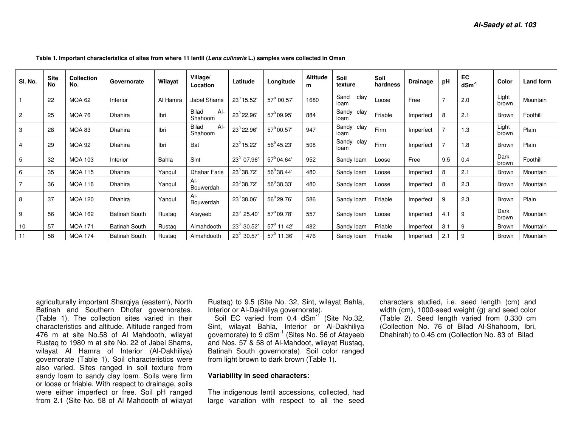| SI. No.        | <b>Site</b><br><b>No</b> | Collection<br>No. | Governorate          | Wilayat      | Village/<br>Location             | Latitude               | Longitude           | <b>Altitude</b><br>m | Soil<br>texture       | Soil<br>hardness | <b>Drainage</b> | pH             | EC<br>$d$ Sm $^{-1}$ | Color          | Land form |
|----------------|--------------------------|-------------------|----------------------|--------------|----------------------------------|------------------------|---------------------|----------------------|-----------------------|------------------|-----------------|----------------|----------------------|----------------|-----------|
|                | 22                       | <b>MOA 62</b>     | Interior             | Al Hamra     | Jabel Shams                      | $23^0$ 15.52'          | $57^{\circ}$ 00.57' | 1680                 | Sand<br>clay<br>loam  | Loose            | Free            |                | 2.0                  | Light<br>brown | Mountain  |
| $\overline{2}$ | 25                       | <b>MOA 76</b>     | Dhahira              | Ibri         | <b>Bilad</b><br>$Al-$<br>Shahoom | 23 <sup>0</sup> 22.96' | $57^0$ 09.95'       | 884                  | Sandy<br>clay<br>loam | Friable          | Imperfect       | 8              | 2.1                  | Brown          | Foothill  |
| 3              | 28                       | <b>MOA 83</b>     | <b>Dhahira</b>       | Ibri         | $Al-$<br><b>Bilad</b><br>Shahoom | 23° 22.96'             | $57^0$ 00.57'       | 947                  | Sandy<br>clay<br>loam | Firm             | Imperfect       | $\overline{ }$ | 1.3                  | Light<br>brown | Plain     |
| $\overline{4}$ | 29                       | <b>MOA 92</b>     | <b>Dhahira</b>       | Ibri         | Bat                              | 23 <sup>0</sup> 15.22' | $56^{\circ}$ 45.23' | 508                  | Sandy clay<br>loam    | Firm             | Imperfect       |                | 1.8                  | Brown          | Plain     |
| 5              | 32                       | <b>MOA 103</b>    | Interior             | <b>Bahla</b> | Sint                             | 23 <sup>0</sup> 07.96' | $57^{\circ}$ 04.64' | 952                  | Sandy loam            | Loose            | Free            | 9.5            | 0.4                  | Dark<br>brown  | Foothill  |
| 6              | 35                       | <b>MOA 115</b>    | <b>Dhahira</b>       | Yangul       | <b>Dhahar Faris</b>              | 23 <sup>0</sup> 38.72' | $56^{\circ}$ 38.44' | 480                  | Sandy loam            | Loose            | Imperfect       | 8              | 2.1                  | Brown          | Mountain  |
| $\overline{7}$ | 36                       | <b>MOA 116</b>    | <b>Dhahira</b>       | Yangul       | $Al-$<br>Bouwerdah               | 23 <sup>0</sup> 38.72' | $56^{\circ}38.33'$  | 480                  | Sandy loam            | Loose            | Imperfect       | 8              | 2.3                  | Brown          | Mountain  |
| 8              | 37                       | <b>MOA 120</b>    | <b>Dhahira</b>       | Yangul       | $Al-$<br>Bouwerdah               | $23^0$ 38.06'          | $56^{\circ}$ 29.76' | 586                  | Sandy loam            | Friable          | Imperfect       | 9              | 2.3                  | Brown          | Plain     |
| 9              | 56                       | <b>MOA 162</b>    | <b>Batinah South</b> | Rustaq       | Atayeeb                          | 23 <sup>0</sup> 25.40  | $57^0$ 09.78'       | 557                  | Sandy loam            | Loose            | Imperfect       | 4.1            | 9                    | Dark<br>brown  | Mountain  |
| 10             | 57                       | <b>MOA 171</b>    | <b>Batinah South</b> | Rustag       | Almahdooth                       | 23 <sup>0</sup> 30.52' | $57^{\circ}$ 11.42' | 482                  | Sandy loam            | Friable          | Imperfect       | 3.1            | 9                    | Brown          | Mountain  |
| 11             | 58                       | <b>MOA 174</b>    | <b>Batinah South</b> | Rustag       | Almahdooth                       | 23 <sup>0</sup> 30.57' | $57^0$ 11.36'       | 476                  | Sandy loam            | Friable          | Imperfect       | 2.1            | 9                    | Brown          | Mountain  |

**Table 1. Important characteristics of sites from where 11 lentil (Lens culinaris L.) samples were collected in Oman** 

agriculturally important Sharqiya (eastern), North Batinah and Southern Dhofar governorates. (Table 1). The collection sites varied in their characteristics and altitude. Altitude ranged from 476 m at site No.58 of Al Mahdooth, wilayat Rustaq to 1980 m at site No. 22 of Jabel Shams, wilayat Al Hamra of Interior (Al-Dakhiliya) governorate (Table 1). Soil characteristics were also varied. Sites ranged in soil texture from sandy loam to sandy clay loam. Soils were firm or loose or friable. With respect to drainage, soils were either imperfect or free. Soil pH ranged from 2.1 (Site No. 58 of Al Mahdooth of wilayat

Rustaq) to 9.5 (Site No. 32, Sint, wilayat Bahla, Interior or Al-Dakhiliya governorate).

Soil EC varied from  $0.4$  dSm<sup>-1</sup> (Site No.32, Sint, wilayat Bahla, Interior or Al-Dakhiliya governorate) to 9 dSm $^{-1}$  (Sites No. 56 of Atayeeb and Nos. 57 & 58 of Al-Mahdoot, wilayat Rustaq, Batinah South governorate). Soil color ranged from light brown to dark brown (Table 1).

### **Variability in seed characters:**

The indigenous lentil accessions, collected, had large variation with respect to all the seed characters studied, i.e. seed length (cm) and width (cm), 1000-seed weight (g) and seed color (Table 2). Seed length varied from 0.330 cm (Collection No. 76 of Bilad Al-Shahoom, Ibri, Dhahirah) to 0.45 cm (Collection No. 83 of Bilad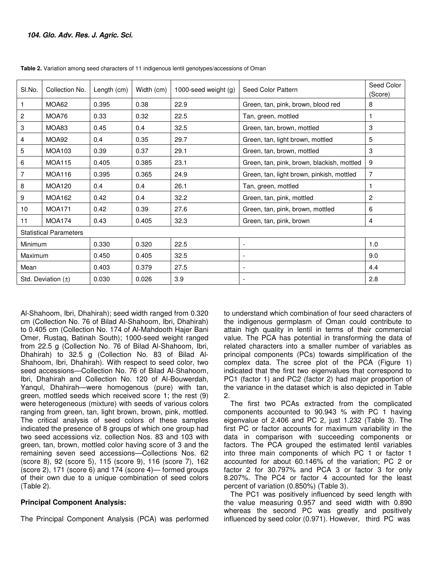| SI.No.                 | Collection No.                | Length (cm) | Width (cm) | 1000-seed weight $(g)$ | Seed Color Pattern                         | Seed Color<br>(Score) |  |  |
|------------------------|-------------------------------|-------------|------------|------------------------|--------------------------------------------|-----------------------|--|--|
| 1                      | MOA62                         | 0.395       | 0.38       | 22.9                   | Green, tan, pink, brown, blood red         | 8                     |  |  |
| $\overline{c}$         | MOA76                         | 0.33        | 0.32       | 22.5                   | Tan, green, mottled                        |                       |  |  |
| $\sqrt{3}$             | MOA83                         | 0.45        | 0.4        | 32.5                   | Green, tan, brown, mottled                 | 3                     |  |  |
| $\overline{4}$         | MOA92                         | 0.4         | 0.35       | 29.7                   | Green, tan, light brown, mottled           | 5                     |  |  |
| 5                      | <b>MOA103</b>                 | 0.39        | 0.37       | 29.1                   | Green, tan, brown, mottled                 | 3                     |  |  |
| 6                      | <b>MOA115</b>                 | 0.405       | 0.385      | 23.1                   | Green, tan, pink, brown, blackish, mottled | 9                     |  |  |
| $\overline{7}$         | MOA116                        | 0.395       | 0.365      | 24.9                   | Green, tan, light brown, pinkish, mottled  | 7                     |  |  |
| 8                      | <b>MOA120</b>                 | 0.4         | 0.4        | 26.1                   | Tan, green, mottled                        |                       |  |  |
| 9                      | <b>MOA162</b>                 | 0.42        | 0.4        | 32.2                   | Green, tan, pink, mottled                  | $\mathbf{2}$          |  |  |
| 10                     | <b>MOA171</b>                 | 0.42        | 0.39       | 27.6                   | Green, tan, pink, brown, mottled           | 6                     |  |  |
| 11                     | <b>MOA174</b>                 | 0.43        | 0.405      | 32.3                   | Green, tan, pink, brown                    | 4                     |  |  |
|                        | <b>Statistical Parameters</b> |             |            |                        |                                            |                       |  |  |
| Minimum                |                               | 0.330       | 0.320      | 22.5                   | $\overline{\phantom{a}}$                   | 1.0                   |  |  |
| Maximum                |                               | 0.450       | 0.405      | 32.5                   |                                            | 9.0                   |  |  |
| Mean                   |                               | 0.403       | 0.379      | 27.5                   |                                            | 4.4                   |  |  |
| Std. Deviation $(\pm)$ |                               | 0.030       | 0.026      | 3.9                    |                                            | 2.8                   |  |  |

**Table 2.** Variation among seed characters of 11 indigenous lentil genotypes/accessions of Oman

Al-Shahoom, Ibri, Dhahirah); seed width ranged from 0.320 cm (Collection No. 76 of Bilad Al-Shahoom, Ibri, Dhahirah) to 0.405 cm (Collection No. 174 of Al-Mahdooth Hajer Bani Omer, Rustaq, Batinah South); 1000-seed weight ranged from 22.5 g (Collection No. 76 of Bilad Al-Shahoom, Ibri, Dhahirah) to 32.5 g (Collection No. 83 of Bilad Al-Shahoom, Ibri, Dhahirah). With respect to seed color, two seed accessions—Collection No. 76 of Bilad Al-Shahoom, Ibri, Dhahirah and Collection No. 120 of Al-Bouwerdah, Yanqul, Dhahirah—were homogenous (pure) with tan, green, mottled seeds which received score 1; the rest (9) were heterogeneous (mixture) with seeds of various colors ranging from green, tan, light brown, brown, pink, mottled. The critical analysis of seed colors of these samples indicated the presence of 8 groups of which one group had two seed accessions viz. collection Nos. 83 and 103 with green, tan, brown, mottled color having score of 3 and the remaining seven seed accessions—Collections Nos. 62 (score 8), 92 (score 5), 115 (score 9), 116 (score 7), 162 (score 2), 171 (score 6) and 174 (score 4)— formed groups of their own due to a unique combination of seed colors (Table 2).

### **Principal Component Analysis:**

The Principal Component Analysis (PCA) was performed

to understand which combination of four seed characters of the indigenous germplasm of Oman could contribute to attain high quality in lentil in terms of their commercial value. The PCA has potential in transforming the data of related characters into a smaller number of variables as principal components (PCs) towards simplification of the complex data. The scree plot of the PCA (Figure 1) indicated that the first two eigenvalues that correspond to PC1 (factor 1) and PC2 (factor 2) had major proportion of the variance in the dataset which is also depicted in Table 2.

The first two PCAs extracted from the complicated components accounted to 90.943 % with PC 1 having eigenvalue of 2.406 and PC 2, just 1.232 (Table 3). The first PC or factor accounts for maximum variability in the data in comparison with succeeding components or factors. The PCA grouped the estimated lentil variables into three main components of which PC 1 or factor 1 accounted for about 60.146% of the variation; PC 2 or factor 2 for 30.797% and PCA 3 or factor 3 for only 8.207%. The PC4 or factor 4 accounted for the least percent of variation (0.850%) (Table 3).

The PC1 was positively influenced by seed length with the value measuring 0.957 and seed width with 0.890 whereas the second PC was greatly and positively influenced by seed color (0.971). However, third PC was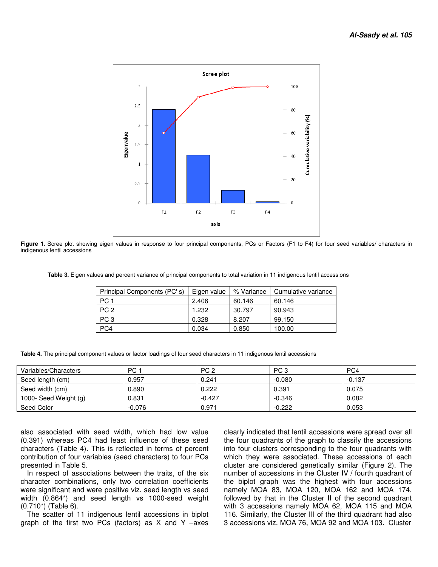

Figure 1. Scree plot showing eigen values in response to four principal components, PCs or Factors (F1 to F4) for four seed variables/ characters in indigenous lentil accessions

 **Table 3.** Eigen values and percent variance of principal components to total variation in 11 indigenous lentil accessions

| Principal Components (PC's) | Eigen value | % Variance | Cumulative variance |
|-----------------------------|-------------|------------|---------------------|
| PC <sub>1</sub>             | 2.406       | 60.146     | 60.146              |
| PC <sub>2</sub>             | 1.232       | 30.797     | 90.943              |
| PC <sub>3</sub>             | 0.328       | 8.207      | 99.150              |
| PC4                         | 0.034       | 0.850      | 100.00              |

|  |  | Table 4. The principal component values or factor loadings of four seed characters in 11 indigenous lentil accessions |
|--|--|-----------------------------------------------------------------------------------------------------------------------|
|  |  |                                                                                                                       |

| Variables/Characters  | PC 1     | PC <sub>2</sub> | PC <sub>3</sub> | PC4      |
|-----------------------|----------|-----------------|-----------------|----------|
| Seed length (cm)      | 0.957    | 0.241           | $-0.080$        | $-0.137$ |
| Seed width (cm)       | 0.890    | 0.222           | 0.391           | 0.075    |
| 1000- Seed Weight (g) | 0.831    | $-0.427$        | $-0.346$        | 0.082    |
| Seed Color            | $-0.076$ | 0.971           | $-0.222$        | 0.053    |

also associated with seed width, which had low value (0.391) whereas PC4 had least influence of these seed characters (Table 4). This is reflected in terms of percent contribution of four variables (seed characters) to four PCs presented in Table 5.

In respect of associations between the traits, of the six character combinations, only two correlation coefficients were significant and were positive viz. seed length vs seed width (0.864\*) and seed length vs 1000-seed weight (0.710\*) (Table 6).

The scatter of 11 indigenous lentil accessions in biplot graph of the first two PCs (factors) as X and Y –axes

clearly indicated that lentil accessions were spread over all the four quadrants of the graph to classify the accessions into four clusters corresponding to the four quadrants with which they were associated. These accessions of each cluster are considered genetically similar (Figure 2). The number of accessions in the Cluster IV / fourth quadrant of the biplot graph was the highest with four accessions namely MOA 83, MOA 120, MOA 162 and MOA 174, followed by that in the Cluster II of the second quadrant with 3 accessions namely MOA 62, MOA 115 and MOA 116. Similarly, the Cluster III of the third quadrant had also 3 accessions viz. MOA 76, MOA 92 and MOA 103. Cluster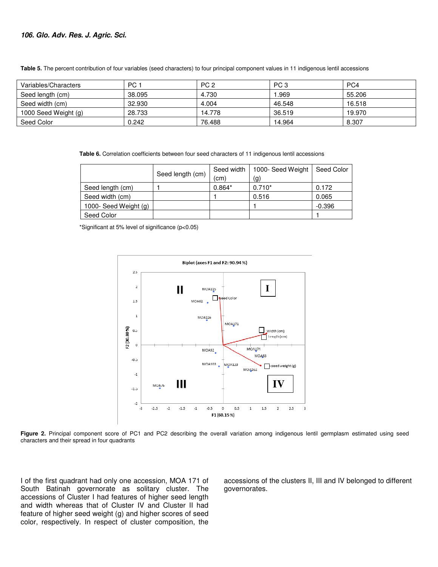#### **106. Glo. Adv. Res. J. Agric. Sci.**

| Variables/Characters | PC 1   | PC <sub>2</sub> | PC <sub>3</sub> | PC4    |
|----------------------|--------|-----------------|-----------------|--------|
| Seed length (cm)     | 38.095 | 4.730           | .969            | 55.206 |
| Seed width (cm)      | 32.930 | 4.004           | 46.548          | 16.518 |
| 1000 Seed Weight (g) | 28.733 | 14.778          | 36.519          | 19.970 |
| Seed Color           | 0.242  | 76.488          | 14.964          | 8.307  |

**Table 5.** The percent contribution of four variables (seed characters) to four principal component values in 11 indigenous lentil accessions

 **Table 6.** Correlation coefficients between four seed characters of 11 indigenous lentil accessions

|                       | Seed length (cm) | Seed width | 1000- Seed Weight | Seed Color |
|-----------------------|------------------|------------|-------------------|------------|
|                       |                  | (cm        | (g)               |            |
| Seed length (cm)      |                  | $0.864*$   | $0.710*$          | 0.172      |
| Seed width (cm)       |                  |            | 0.516             | 0.065      |
| 1000- Seed Weight (g) |                  |            |                   | $-0.396$   |
| Seed Color            |                  |            |                   |            |

\*Significant at 5% level of significance (p<0.05)



Figure 2. Principal component score of PC1 and PC2 describing the overall variation among indigenous lentil germplasm estimated using seed characters and their spread in four quadrants

I of the first quadrant had only one accession, MOA 171 of South Batinah governorate as solitary cluster. The accessions of Cluster I had features of higher seed length and width whereas that of Cluster IV and Cluster II had feature of higher seed weight (g) and higher scores of seed color, respectively. In respect of cluster composition, the

accessions of the clusters II, III and IV belonged to different governorates.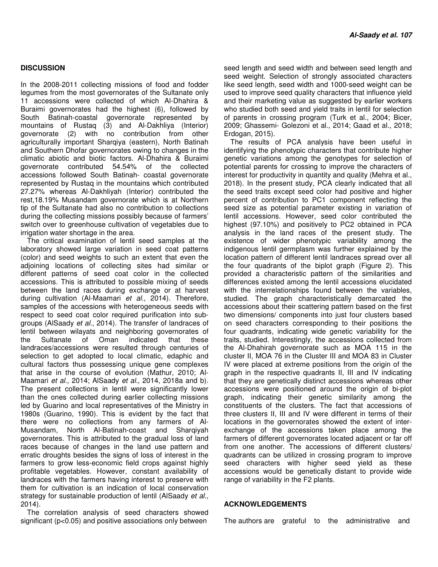### **DISCUSSION**

In the 2008-2011 collecting missions of food and fodder legumes from the most governorates of the Sultanate only 11 accessions were collected of which Al-Dhahira & Buraimi governorates had the highest (6), followed by South Batinah-coastal governorate represented by mountains of Rustaq (3) and Al-Dakhliya (Interior) governorate (2) with no contribution from other agriculturally important Sharqiya (eastern), North Batinah and Southern Dhofar governorates owing to changes in the climatic abiotic and biotic factors. Al-Dhahira & Buraimi governorate contributed 54.54% of the collected accessions followed South Batinah- coastal governorate represented by Rustaq in the mountains which contributed 27.27% whereas Al-Dakhliyah (Interior) contributed the rest,18.19% Musandam governorate which is at Northern tip of the Sultanate had also no contribution to collections during the collecting missions possibly because of farmers' switch over to greenhouse cultivation of vegetables due to irrigation water shortage in the area.

The critical examination of lentil seed samples at the laboratory showed large variation in seed coat patterns (color) and seed weights to such an extent that even the adjoining locations of collecting sites had similar or different patterns of seed coat color in the collected accessions. This is attributed to possible mixing of seeds between the land races during exchange or at harvest during cultivation (Al-Maamari et al., 2014). Therefore, samples of the accessions with heterogeneous seeds with respect to seed coat color required purification into subgroups (AlSaady et al., 2014). The transfer of landraces of lentil between wilayats and neighboring governorates of the Sultanate of Oman indicated that these landraces/accessions were resulted through centuries of selection to get adopted to local climatic, edaphic and cultural factors thus possessing unique gene complexes that arise in the course of evolution (Mathur, 2010; Al-Maamari et al., 2014; AlSaady et al., 2014, 2018a and b). The present collections in lentil were significantly lower than the ones collected during earlier collecting missions led by Guarino and local representatives of the Ministry in 1980s (Guarino, 1990). This is evident by the fact that there were no collections from any farmers of Al-Musandam, North Al-Batinah-coast and Sharqiyah governorates. This is attributed to the gradual loss of land races because of changes in the land use pattern and erratic droughts besides the signs of loss of interest in the farmers to grow less-economic field crops against highly profitable vegetables. However, constant availability of landraces with the farmers having interest to preserve with them for cultivation is an indication of local conservation strategy for sustainable production of lentil (AlSaady et al., 2014).

The correlation analysis of seed characters showed significant (p<0.05) and positive associations only between

seed length and seed width and between seed length and seed weight. Selection of strongly associated characters like seed length, seed width and 1000-seed weight can be used to improve seed quality characters that influence yield and their marketing value as suggested by earlier workers who studied both seed and yield traits in lentil for selection of parents in crossing program (Turk et al., 2004; Bicer, 2009; Ghassemi- Golezoni et al., 2014; Gaad et al., 2018; Erdogan, 2015).

The results of PCA analysis have been useful in identifying the phenotypic characters that contribute higher genetic variations among the genotypes for selection of potential parents for crossing to improve the characters of interest for productivity in quantity and quality (Mehra et al., 2018). In the present study, PCA clearly indicated that all the seed traits except seed color had positive and higher percent of contribution to PC1 component reflecting the seed size as potential parameter existing in variation of lentil accessions. However, seed color contributed the highest (97.10%) and positively to PC2 obtained in PCA analysis in the land races of the present study. The existence of wider phenotypic variability among the indigenous lentil germplasm was further explained by the location pattern of different lentil landraces spread over all the four quadrants of the biplot graph (Figure 2). This provided a characteristic pattern of the similarities and differences existed among the lentil accessions elucidated with the interrelationships found between the variables, studied. The graph characteristically demarcated the accessions about their scattering pattern based on the first two dimensions/ components into just four clusters based on seed characters corresponding to their positions the four quadrants, indicating wide genetic variability for the traits, studied. Interestingly, the accessions collected from the Al-Dhahirah governorate such as MOA 115 in the cluster II, MOA 76 in the Cluster III and MOA 83 in Cluster IV were placed at extreme positions from the origin of the graph in the respective quadrants II, III and IV indicating that they are genetically distinct accessions whereas other accessions were positioned around the origin of bi-plot graph, indicating their genetic similarity among the constituents of the clusters. The fact that accessions of three clusters II, III and IV were different in terms of their locations in the governorates showed the extent of interexchange of the accessions taken place among the farmers of different governorates located adjacent or far off from one another. The accessions of different clusters/ quadrants can be utilized in crossing program to improve seed characters with higher seed yield as these accessions would be genetically distant to provide wide range of variability in the F2 plants.

#### **ACKNOWLEDGEMENTS**

The authors are grateful to the administrative and